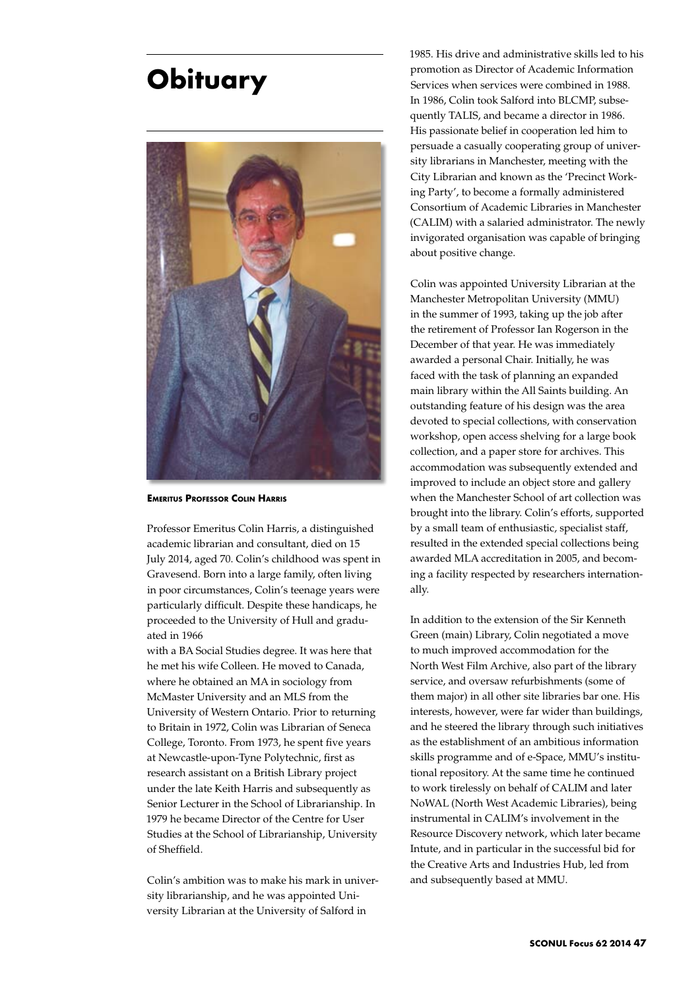## **Obituary**



**Emeritus Professor Colin Harris**

Professor Emeritus Colin Harris, a distinguished academic librarian and consultant, died on 15 July 2014, aged 70. Colin's childhood was spent in Gravesend. Born into a large family, often living in poor circumstances, Colin's teenage years were particularly difficult. Despite these handicaps, he proceeded to the University of Hull and graduated in 1966

with a BA Social Studies degree. It was here that he met his wife Colleen. He moved to Canada, where he obtained an MA in sociology from McMaster University and an MLS from the University of Western Ontario. Prior to returning to Britain in 1972, Colin was Librarian of Seneca College, Toronto. From 1973, he spent five years at Newcastle-upon-Tyne Polytechnic, first as research assistant on a British Library project under the late Keith Harris and subsequently as Senior Lecturer in the School of Librarianship. In 1979 he became Director of the Centre for User Studies at the School of Librarianship, University of Sheffield.

Colin's ambition was to make his mark in university librarianship, and he was appointed University Librarian at the University of Salford in

1985. His drive and administrative skills led to his promotion as Director of Academic Information Services when services were combined in 1988. In 1986, Colin took Salford into BLCMP, subsequently TALIS, and became a director in 1986. His passionate belief in cooperation led him to persuade a casually cooperating group of university librarians in Manchester, meeting with the City Librarian and known as the 'Precinct Working Party', to become a formally administered Consortium of Academic Libraries in Manchester (CALIM) with a salaried administrator. The newly invigorated organisation was capable of bringing about positive change.

Colin was appointed University Librarian at the Manchester Metropolitan University (MMU) in the summer of 1993, taking up the job after the retirement of Professor Ian Rogerson in the December of that year. He was immediately awarded a personal Chair. Initially, he was faced with the task of planning an expanded main library within the All Saints building. An outstanding feature of his design was the area devoted to special collections, with conservation workshop, open access shelving for a large book collection, and a paper store for archives. This accommodation was subsequently extended and improved to include an object store and gallery when the Manchester School of art collection was brought into the library. Colin's efforts, supported by a small team of enthusiastic, specialist staff, resulted in the extended special collections being awarded MLA accreditation in 2005, and becoming a facility respected by researchers internationally.

In addition to the extension of the Sir Kenneth Green (main) Library, Colin negotiated a move to much improved accommodation for the North West Film Archive, also part of the library service, and oversaw refurbishments (some of them major) in all other site libraries bar one. His interests, however, were far wider than buildings, and he steered the library through such initiatives as the establishment of an ambitious information skills programme and of e-Space, MMU's institutional repository. At the same time he continued to work tirelessly on behalf of CALIM and later NoWAL (North West Academic Libraries), being instrumental in CALIM's involvement in the Resource Discovery network, which later became Intute, and in particular in the successful bid for the Creative Arts and Industries Hub, led from and subsequently based at MMU.